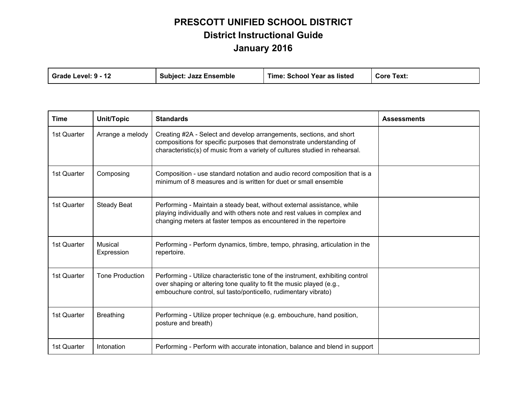| Grade Level: 9 - 12 | <b>Subject: Jazz Ensemble</b> | Time: School Year as listed | <b>Core Text:</b> |
|---------------------|-------------------------------|-----------------------------|-------------------|
|---------------------|-------------------------------|-----------------------------|-------------------|

| Time        | Unit/Topic             | <b>Standards</b>                                                                                                                                                                                                           | <b>Assessments</b> |
|-------------|------------------------|----------------------------------------------------------------------------------------------------------------------------------------------------------------------------------------------------------------------------|--------------------|
| 1st Quarter | Arrange a melody       | Creating #2A - Select and develop arrangements, sections, and short<br>compositions for specific purposes that demonstrate understanding of<br>characteristic(s) of music from a variety of cultures studied in rehearsal. |                    |
| 1st Quarter | Composing              | Composition - use standard notation and audio record composition that is a<br>minimum of 8 measures and is written for duet or small ensemble                                                                              |                    |
| 1st Quarter | <b>Steady Beat</b>     | Performing - Maintain a steady beat, without external assistance, while<br>playing individually and with others note and rest values in complex and<br>changing meters at faster tempos as encountered in the repertoire   |                    |
| 1st Quarter | Musical<br>Expression  | Performing - Perform dynamics, timbre, tempo, phrasing, articulation in the<br>repertoire.                                                                                                                                 |                    |
| 1st Quarter | <b>Tone Production</b> | Performing - Utilize characteristic tone of the instrument, exhibiting control<br>over shaping or altering tone quality to fit the music played (e.g.,<br>embouchure control, sul tasto/ponticello, rudimentary vibrato)   |                    |
| 1st Quarter | <b>Breathing</b>       | Performing - Utilize proper technique (e.g. embouchure, hand position,<br>posture and breath)                                                                                                                              |                    |
| 1st Quarter | Intonation             | Performing - Perform with accurate intonation, balance and blend in support                                                                                                                                                |                    |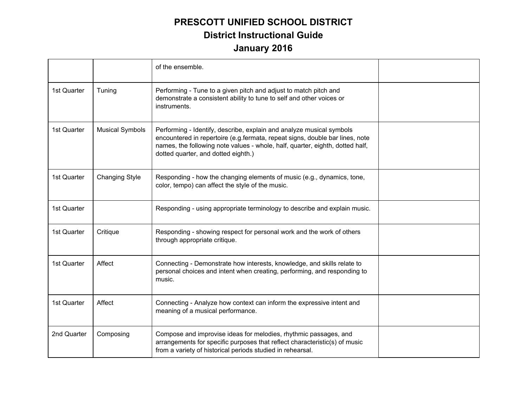|             |                        | of the ensemble.                                                                                                                                                                                                                                                             |  |
|-------------|------------------------|------------------------------------------------------------------------------------------------------------------------------------------------------------------------------------------------------------------------------------------------------------------------------|--|
| 1st Quarter | Tuning                 | Performing - Tune to a given pitch and adjust to match pitch and<br>demonstrate a consistent ability to tune to self and other voices or<br>instruments.                                                                                                                     |  |
| 1st Quarter | <b>Musical Symbols</b> | Performing - Identify, describe, explain and analyze musical symbols<br>encountered in repertoire (e.g.fermata, repeat signs, double bar lines, note<br>names, the following note values - whole, half, quarter, eighth, dotted half,<br>dotted quarter, and dotted eighth.) |  |
| 1st Quarter | <b>Changing Style</b>  | Responding - how the changing elements of music (e.g., dynamics, tone,<br>color, tempo) can affect the style of the music.                                                                                                                                                   |  |
| 1st Quarter |                        | Responding - using appropriate terminology to describe and explain music.                                                                                                                                                                                                    |  |
| 1st Quarter | Critique               | Responding - showing respect for personal work and the work of others<br>through appropriate critique.                                                                                                                                                                       |  |
| 1st Quarter | Affect                 | Connecting - Demonstrate how interests, knowledge, and skills relate to<br>personal choices and intent when creating, performing, and responding to<br>music.                                                                                                                |  |
| 1st Quarter | Affect                 | Connecting - Analyze how context can inform the expressive intent and<br>meaning of a musical performance.                                                                                                                                                                   |  |
| 2nd Quarter | Composing              | Compose and improvise ideas for melodies, rhythmic passages, and<br>arrangements for specific purposes that reflect characteristic(s) of music<br>from a variety of historical periods studied in rehearsal.                                                                 |  |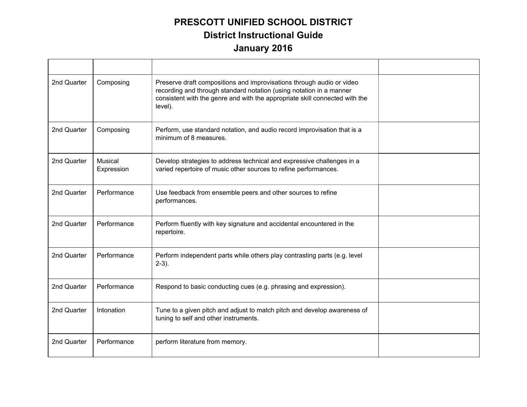| 2nd Quarter | Composing                    | Preserve draft compositions and improvisations through audio or video<br>recording and through standard notation (using notation in a manner<br>consistent with the genre and with the appropriate skill connected with the<br>level). |  |
|-------------|------------------------------|----------------------------------------------------------------------------------------------------------------------------------------------------------------------------------------------------------------------------------------|--|
| 2nd Quarter | Composing                    | Perform, use standard notation, and audio record improvisation that is a<br>minimum of 8 measures.                                                                                                                                     |  |
| 2nd Quarter | <b>Musical</b><br>Expression | Develop strategies to address technical and expressive challenges in a<br>varied repertoire of music other sources to refine performances.                                                                                             |  |
| 2nd Quarter | Performance                  | Use feedback from ensemble peers and other sources to refine<br>performances.                                                                                                                                                          |  |
| 2nd Quarter | Performance                  | Perform fluently with key signature and accidental encountered in the<br>repertoire.                                                                                                                                                   |  |
| 2nd Quarter | Performance                  | Perform independent parts while others play contrasting parts (e.g. level<br>$2-3$ ).                                                                                                                                                  |  |
| 2nd Quarter | Performance                  | Respond to basic conducting cues (e.g. phrasing and expression).                                                                                                                                                                       |  |
| 2nd Quarter | Intonation                   | Tune to a given pitch and adjust to match pitch and develop awareness of<br>tuning to self and other instruments.                                                                                                                      |  |
| 2nd Quarter | Performance                  | perform literature from memory.                                                                                                                                                                                                        |  |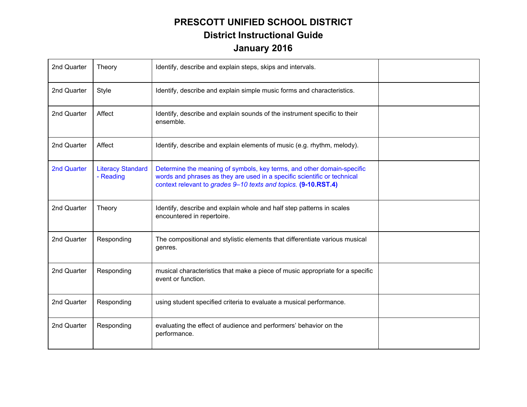| 2nd Quarter | Theory                                | Identify, describe and explain steps, skips and intervals.                                                                                                                                                           |  |
|-------------|---------------------------------------|----------------------------------------------------------------------------------------------------------------------------------------------------------------------------------------------------------------------|--|
| 2nd Quarter | <b>Style</b>                          | Identify, describe and explain simple music forms and characteristics.                                                                                                                                               |  |
| 2nd Quarter | Affect                                | Identify, describe and explain sounds of the instrument specific to their<br>ensemble.                                                                                                                               |  |
| 2nd Quarter | Affect                                | Identify, describe and explain elements of music (e.g. rhythm, melody).                                                                                                                                              |  |
| 2nd Quarter | <b>Literacy Standard</b><br>- Reading | Determine the meaning of symbols, key terms, and other domain-specific<br>words and phrases as they are used in a specific scientific or technical<br>context relevant to grades 9-10 texts and topics. (9-10.RST.4) |  |
| 2nd Quarter | Theory                                | Identify, describe and explain whole and half step patterns in scales<br>encountered in repertoire.                                                                                                                  |  |
| 2nd Quarter | Responding                            | The compositional and stylistic elements that differentiate various musical<br>genres.                                                                                                                               |  |
| 2nd Quarter | Responding                            | musical characteristics that make a piece of music appropriate for a specific<br>event or function.                                                                                                                  |  |
| 2nd Quarter | Responding                            | using student specified criteria to evaluate a musical performance.                                                                                                                                                  |  |
| 2nd Quarter | Responding                            | evaluating the effect of audience and performers' behavior on the<br>performance.                                                                                                                                    |  |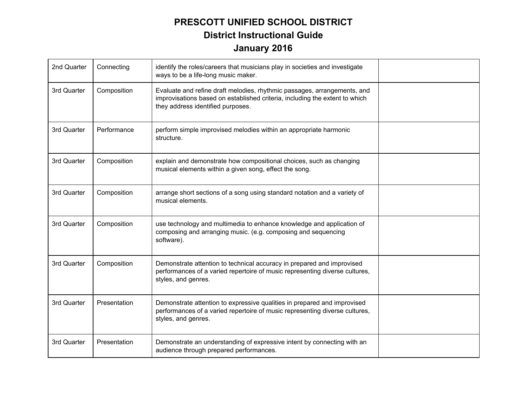| 2nd Quarter | Connecting   | identify the roles/careers that musicians play in societies and investigate<br>ways to be a life-long music maker.                                                                           |  |
|-------------|--------------|----------------------------------------------------------------------------------------------------------------------------------------------------------------------------------------------|--|
| 3rd Quarter | Composition  | Evaluate and refine draft melodies, rhythmic passages, arrangements, and<br>improvisations based on established criteria, including the extent to which<br>they address identified purposes. |  |
| 3rd Quarter | Performance  | perform simple improvised melodies within an appropriate harmonic<br>structure.                                                                                                              |  |
| 3rd Quarter | Composition  | explain and demonstrate how compositional choices, such as changing<br>musical elements within a given song, effect the song.                                                                |  |
| 3rd Quarter | Composition  | arrange short sections of a song using standard notation and a variety of<br>musical elements.                                                                                               |  |
| 3rd Quarter | Composition  | use technology and multimedia to enhance knowledge and application of<br>composing and arranging music. (e.g. composing and sequencing<br>software).                                         |  |
| 3rd Quarter | Composition  | Demonstrate attention to technical accuracy in prepared and improvised<br>performances of a varied repertoire of music representing diverse cultures,<br>styles, and genres.                 |  |
| 3rd Quarter | Presentation | Demonstrate attention to expressive qualities in prepared and improvised<br>performances of a varied repertoire of music representing diverse cultures,<br>styles, and genres.               |  |
| 3rd Quarter | Presentation | Demonstrate an understanding of expressive intent by connecting with an<br>audience through prepared performances.                                                                           |  |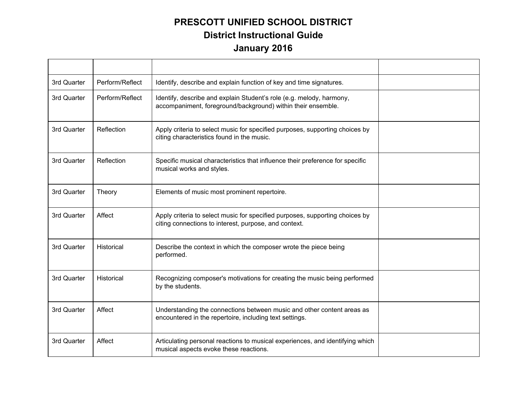| 3rd Quarter | Perform/Reflect | Identify, describe and explain function of key and time signatures.                                                                   |  |
|-------------|-----------------|---------------------------------------------------------------------------------------------------------------------------------------|--|
| 3rd Quarter | Perform/Reflect | Identify, describe and explain Student's role (e.g. melody, harmony,<br>accompaniment, foreground/background) within their ensemble.  |  |
| 3rd Quarter | Reflection      | Apply criteria to select music for specified purposes, supporting choices by<br>citing characteristics found in the music.            |  |
| 3rd Quarter | Reflection      | Specific musical characteristics that influence their preference for specific<br>musical works and styles.                            |  |
| 3rd Quarter | Theory          | Elements of music most prominent repertoire.                                                                                          |  |
| 3rd Quarter | Affect          | Apply criteria to select music for specified purposes, supporting choices by<br>citing connections to interest, purpose, and context. |  |
| 3rd Quarter | Historical      | Describe the context in which the composer wrote the piece being<br>performed.                                                        |  |
| 3rd Quarter | Historical      | Recognizing composer's motivations for creating the music being performed<br>by the students.                                         |  |
| 3rd Quarter | Affect          | Understanding the connections between music and other content areas as<br>encountered in the repertoire, including text settings.     |  |
| 3rd Quarter | Affect          | Articulating personal reactions to musical experiences, and identifying which<br>musical aspects evoke these reactions.               |  |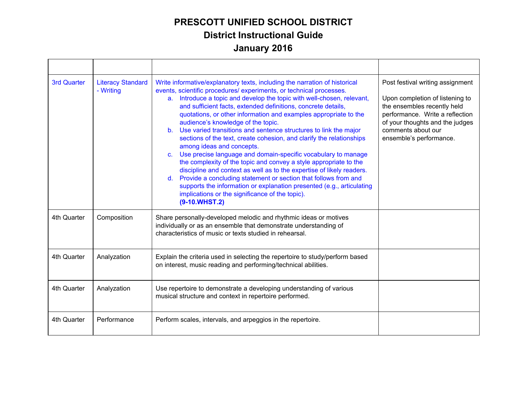| 3rd Quarter | <b>Literacy Standard</b><br>- Writing | Write informative/explanatory texts, including the narration of historical<br>events, scientific procedures/experiments, or technical processes.<br>Introduce a topic and develop the topic with well-chosen, relevant,<br>a.<br>and sufficient facts, extended definitions, concrete details,<br>quotations, or other information and examples appropriate to the<br>audience's knowledge of the topic.<br>b. Use varied transitions and sentence structures to link the major<br>sections of the text, create cohesion, and clarify the relationships<br>among ideas and concepts.<br>Use precise language and domain-specific vocabulary to manage<br>$\mathbf{C}$ .<br>the complexity of the topic and convey a style appropriate to the<br>discipline and context as well as to the expertise of likely readers.<br>Provide a concluding statement or section that follows from and<br>$d_{\cdot}$<br>supports the information or explanation presented (e.g., articulating<br>implications or the significance of the topic).<br>$(9-10.WHST.2)$ | Post festival writing assignment<br>Upon completion of listening to<br>the ensembles recently held<br>performance. Write a reflection<br>of your thoughts and the judges<br>comments about our<br>ensemble's performance. |
|-------------|---------------------------------------|--------------------------------------------------------------------------------------------------------------------------------------------------------------------------------------------------------------------------------------------------------------------------------------------------------------------------------------------------------------------------------------------------------------------------------------------------------------------------------------------------------------------------------------------------------------------------------------------------------------------------------------------------------------------------------------------------------------------------------------------------------------------------------------------------------------------------------------------------------------------------------------------------------------------------------------------------------------------------------------------------------------------------------------------------------|---------------------------------------------------------------------------------------------------------------------------------------------------------------------------------------------------------------------------|
| 4th Quarter | Composition                           | Share personally-developed melodic and rhythmic ideas or motives<br>individually or as an ensemble that demonstrate understanding of<br>characteristics of music or texts studied in rehearsal.                                                                                                                                                                                                                                                                                                                                                                                                                                                                                                                                                                                                                                                                                                                                                                                                                                                        |                                                                                                                                                                                                                           |
| 4th Quarter | Analyzation                           | Explain the criteria used in selecting the repertoire to study/perform based<br>on interest, music reading and performing/technical abilities.                                                                                                                                                                                                                                                                                                                                                                                                                                                                                                                                                                                                                                                                                                                                                                                                                                                                                                         |                                                                                                                                                                                                                           |
| 4th Quarter | Analyzation                           | Use repertoire to demonstrate a developing understanding of various<br>musical structure and context in repertoire performed.                                                                                                                                                                                                                                                                                                                                                                                                                                                                                                                                                                                                                                                                                                                                                                                                                                                                                                                          |                                                                                                                                                                                                                           |
| 4th Quarter | Performance                           | Perform scales, intervals, and arpeggios in the repertoire.                                                                                                                                                                                                                                                                                                                                                                                                                                                                                                                                                                                                                                                                                                                                                                                                                                                                                                                                                                                            |                                                                                                                                                                                                                           |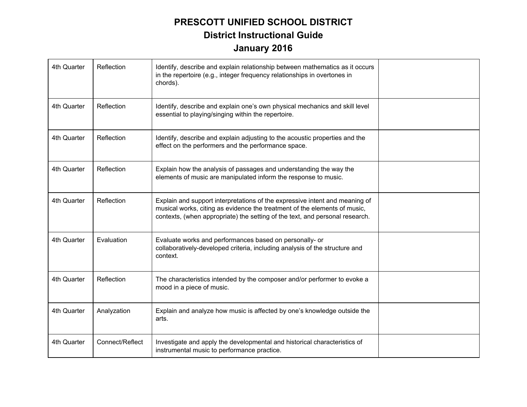| 4th Quarter | Reflection      | Identify, describe and explain relationship between mathematics as it occurs<br>in the repertoire (e.g., integer frequency relationships in overtones in<br>chords).                                                                     |  |
|-------------|-----------------|------------------------------------------------------------------------------------------------------------------------------------------------------------------------------------------------------------------------------------------|--|
| 4th Quarter | Reflection      | Identify, describe and explain one's own physical mechanics and skill level<br>essential to playing/singing within the repertoire.                                                                                                       |  |
| 4th Quarter | Reflection      | Identify, describe and explain adjusting to the acoustic properties and the<br>effect on the performers and the performance space.                                                                                                       |  |
| 4th Quarter | Reflection      | Explain how the analysis of passages and understanding the way the<br>elements of music are manipulated inform the response to music.                                                                                                    |  |
| 4th Quarter | Reflection      | Explain and support interpretations of the expressive intent and meaning of<br>musical works, citing as evidence the treatment of the elements of music,<br>contexts, (when appropriate) the setting of the text, and personal research. |  |
| 4th Quarter | Evaluation      | Evaluate works and performances based on personally- or<br>collaboratively-developed criteria, including analysis of the structure and<br>context.                                                                                       |  |
| 4th Quarter | Reflection      | The characteristics intended by the composer and/or performer to evoke a<br>mood in a piece of music.                                                                                                                                    |  |
| 4th Quarter | Analyzation     | Explain and analyze how music is affected by one's knowledge outside the<br>arts.                                                                                                                                                        |  |
| 4th Quarter | Connect/Reflect | Investigate and apply the developmental and historical characteristics of<br>instrumental music to performance practice.                                                                                                                 |  |